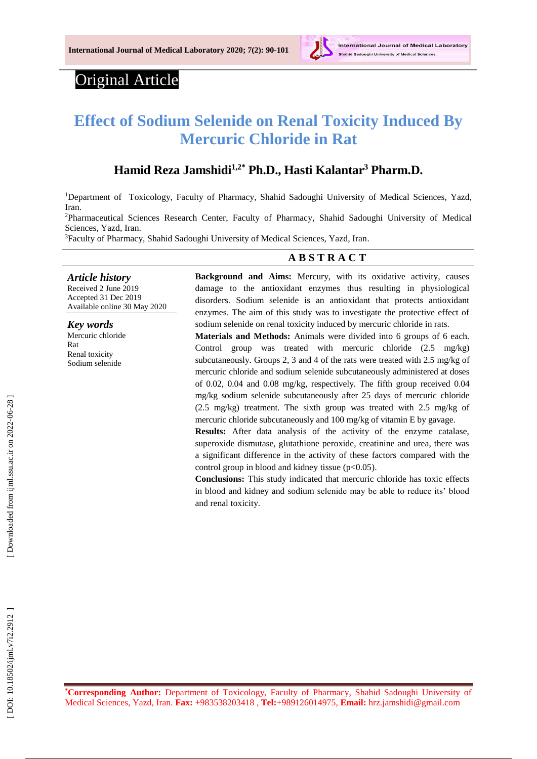

# Original Article

# **Effect of Sodium Selenide on Renal Toxicity Induced By Mercuric Chloride in Rat**

## **Hamid Reza Jamshidi 1,2 \* Ph.D., Hasti Kalantar <sup>3</sup> Pharm.D .**

<sup>1</sup>Department of Toxicology, Faculty of Pharmacy, Shahid Sadoughi University of Medical Sciences, Yazd, Iran.

<sup>2</sup>Pharmaceutical Sciences Research Center, Faculty of Pharmacy, Shahid Sadoughi University of Medical Sciences, Yazd, Iran.

<sup>3</sup>Faculty of Pharmacy, Shahid Sadoughi University of Medical Sciences, Yazd, Iran.

#### **A B S T R A C T**

*Article history* Received 2 June 201 9 Accepted 31 Dec 201 9 Available online 30 May 2020

*Key words* Mercuric chloride Rat Renal toxicity Sodium selenide

**Background and Aims:** Mercury, with its oxidative activity, causes damage to the antioxidant enzymes thus resulting in physiological disorders. Sodium selenide is an antioxidant that protects antioxidant enzymes. The aim of this study was to investigate the protective effect of sodium selenide on renal toxicity induced by mercuric chloride in rats.

**Materials and Methods:** Animals were divided into 6 groups of 6 each. Control group was treated with mercuric chloride (2.5 mg/kg) subcutaneously. Groups 2, 3 and 4 of the rats were treated with 2.5 mg/kg of mercuric chloride and sodium selenide subcutaneously administered at doses of 0.02, 0.04 and 0.08 mg/kg, respectively. The fifth group received 0.04 mg/kg sodium selenide subcutaneously after 25 days of mercuric chloride (2.5 mg/kg) treatment. The sixth group was treated with 2.5 mg/kg of mercuric chloride subcutaneously and 100 mg/kg of vitamin E by gavage.

**Results:** After data analysis of the activity of the enzyme catalase, superoxide dismutase, glutathione peroxide, creatinine and urea, there was a significant difference in the activity of these factors compared with the control group in blood and kidney tissue (p<0.05).

**Conclusions:** This study indicated that mercuric chloride has toxic effects in blood and kidney and sodium selenide may be able to reduce its' blood and renal toxicity.

**\*Corresponding Author:** Department of Toxicology, Faculty of Pharmacy, Shahid Sadoughi University of Medical Sciences, Yazd, Iran. **Fax:** +983538203418 , **Tel:**+989126014975, **Email:** hrz.jamshidi@gmail.com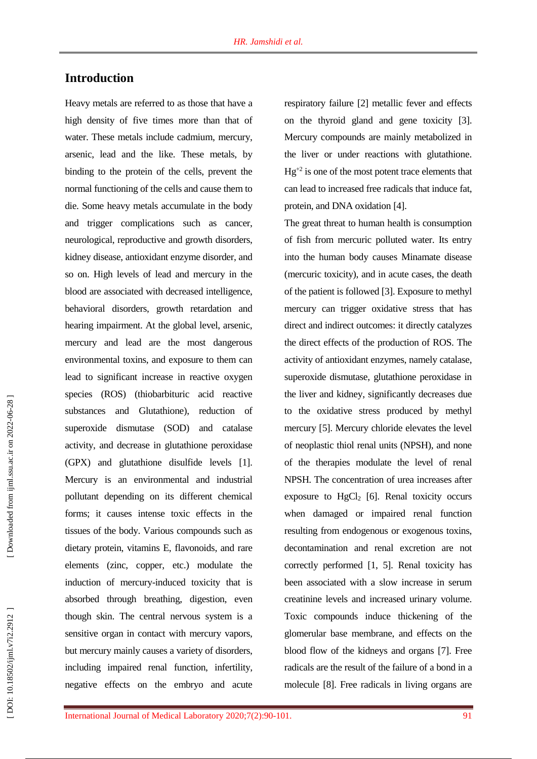## **Introduction**

Heavy metals are referred to as those that have a high density of five times more than that of water. These metals include cadmium, mercury, arsenic, lead and the like. These metals, by binding to the protein of the cells, prevent the normal functioning of the cells and cause them to die. Some heavy metals accumulate in the body and trigger complications such as cancer, neurological , reproductive and growth disorders, kidney disease, antioxidant enzyme disorder, and so on. High levels of lead and mercury in the blood are associated with decreased intelligence, behavioral disorders, growth retardation and hearing impairment. At the global level, arsenic, mercury and lead are the most dangerous environmental toxins, and exposure to them can lead to significant increase in reactive oxygen species (ROS) ( thiobarbituric acid reactive substances and Glutathione), reduction of superoxide dismutase (SOD) and catalase activity , and decrease in glutathione peroxidase (GPX) and glutathione disulfide levels [ 1 ] . Mercury is an environmental and industrial pollutant depending on its different chemical forms; it causes intense toxic effects in the tissues of the body. Various compounds such as dietary protein, vitamins E, flavonoids, and rare elements (zinc, copper, etc.) modulate the induction of mercury -induced toxicity that is absorbed through breathing, digestion, even though skin. The central nervous system is a sensitive organ in contact with mercury vapors, but mercury mainly causes a variety of disorders, including impaired renal function, infertility, negative effects on the embryo and acute

respiratory failure [ 2 ] metallic fever and effects on the thyroid gland and gene toxicity [ 3 ]. Mercury compounds are mainly metabolized in the liver or under reactions with glutathione.  $Hg^{+2}$  is one of the most potent trace elements that can lead to increased free radicals that induce fat, protein, and DNA oxidation [ 4 ].

The great threat to human health is consumption of fish from mercuric polluted water. Its entry into the human body causes Minamate disease (mercuric toxicity), and in acute cases , the death of the patient is followed [ 3 ]. Exposure to methyl mercury can trigger oxidative stress that has direct and indirect outcomes: it directly catalyzes the direct effects of the production of ROS. The activity of antioxidant enzymes, namely catalase, superoxide dismutase, glutathione peroxidase in the liver and kidney, significantly decreases due to the oxidative stress produced by methyl mercury [ 5 ]. Mercury chloride elevates the level of neoplastic thiol renal units (NPSH), and none of the therapies modulate the level of renal NPSH. The concentration of urea increases after exposure to  $HgCl<sub>2</sub>$  [6]. Renal toxicity occurs when damaged or impaired renal function resulting from endogenous or exogenous toxins, decontamination and renal excretion are not correctly performed [ 1, 5 ]. Renal toxicity has been associated with a slow increase in serum creatinine levels and increased urinary volume. Toxic compounds induce thickening of the glomerular base membrane, and effects on the blood flow of the kidneys and organs [ 7 ]. Free radicals are the result of the failure of a bond in a molecule [ 8 ]. Free radicals in living organs are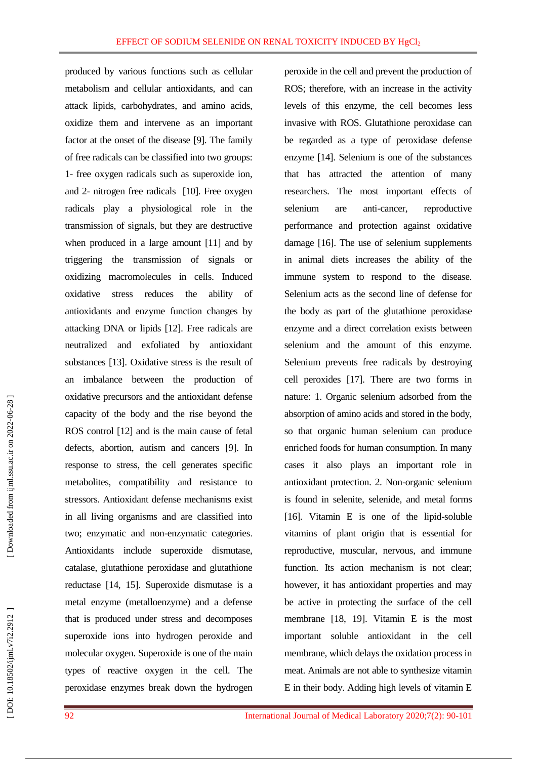produced by various functions such as cellular metabolism and cellular antioxidants, and can attack lipids, carbohydrates, and amino acids, oxidize them and intervene as an important factor at the onset of the disease [9]. The family of free radicals can be classified into two groups: 1- free oxygen radicals such as superoxide ion, and 2 - nitrogen free radicals [10 ]. Free oxygen radicals play a physiological role in the transmission of signals, but they are destructive when produced in a large amount [11 ] and by triggering the transmission of signals or oxidizing macromolecules in cells. Induced oxidative stress reduces the ability of antioxidants and enzyme function changes by attacking DNA or lipids [12 ]. Free radicals are neutralized and exfoliated by antioxidant substances [13 ]. Oxidative stress is the result of an imbalance between the production of oxidative precursors and the antioxidant defense capacity of the body and the rise beyond the ROS control [12 ] and is the main cause of fetal defects, abortion, autism and cancers [ 9 ]. In response to stress, the cell generates specific metabolites, compatibility and resistance to stressors. Antioxidant defense mechanisms exist in all living organisms and are classified into two ; enzymatic and non -enzymatic categories . Antioxidants include superoxide dismutase, catalase, glutathione peroxidase and glutathione reductase [14, 15 ]. Superoxide dismutase is a metal enzyme (metalloenzyme) and a defense that is produced under stress and decomposes superoxide ions into hydrogen peroxide and molecular oxygen. Superoxide is one of the main types of reactive oxygen in the cell. The peroxidase enzymes break down the hydrogen

peroxide in the cell and prevent the production of ROS; therefore, with an increase in the activity levels of this enzyme, the cell becomes less invasive with ROS. Glutathione peroxidase can be regarded as a type of peroxidase defense enzyme [ 1 4 ]. Selenium is one of the substances that has attracted the attention of many researchers. The most important effects of selenium are anti-cancer, reproductive performance and protection against oxidative damage [16 ]. The use of selenium supplements in animal diets increases the ability of the immune system to respond to the disease. Selenium acts as the second line of defense for the body as part of the glutathione peroxidase enzyme and a direct correlation exists between selenium and the amount of this enzyme. Selenium prevents free radicals by destroying cell peroxides [17 ]. There are two forms in nature: 1. Organic selenium adsorbed from the absorption of amino acids and stored in the body, so that organic human selenium can produce enriched foods for human consumption. In many cases it also plays an important role in antioxidant protection. 2. Non -organic selenium is found in selenite, selenide, and metal forms [16]. Vitamin E is one of the lipid-soluble vitamins of plant origin that is essential for reproductive, muscular, nervous, and immune function. Its action mechanism is not clear: however, it has antioxidant properties and may be active in protecting the surface of the cell membrane [18, 19 ]. Vitamin E is the most important soluble antioxidant in the cell membrane, which delay s the oxidation process in meat. Animals are not able to synthesize vitamin E in their body. Adding high levels of vitamin E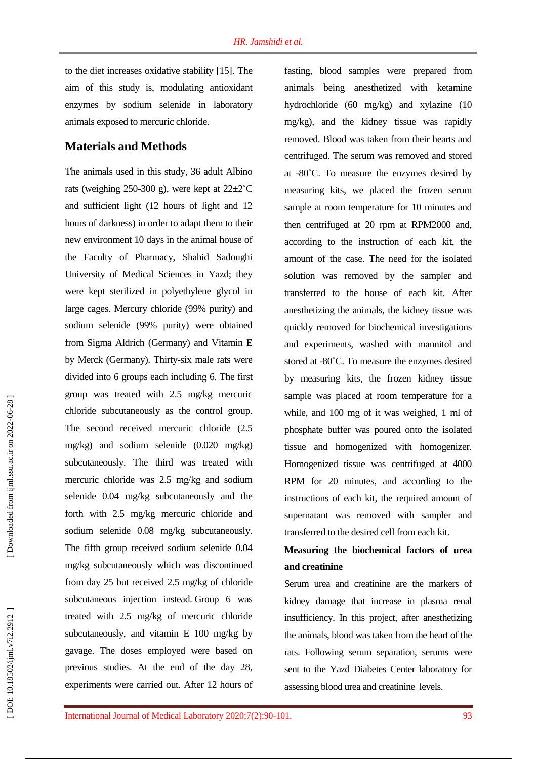to the diet increases oxidative stability [15 ]. The aim of this study is, modulating antioxidant enzymes by sodium selenide in laboratory animals exposed to mercuric chloride.

### **Materials and Methods**

The animals used in this study, 36 adult Albino rats (weighing 250-300 g), were kept at  $22 \pm 2^{\circ}$ C and sufficient light (12 hours of light and 12 hours of darkness) in order to adapt them to their new environment 10 days in the animal house of the Faculty of Pharmacy, Shahid Sadoughi University of Medical Sciences in Yazd; they were kept sterilized in polyethylene glycol in large cages. Mercury chloride (99% purity) and sodium selenide (99% purity) were obtained from Sigma Aldrich (Germany) and Vitamin E by Merck (Germany). Thirty -six male rats were divided into 6 groups each including 6 . The first group was treated with 2.5 mg/kg mercuric chloride subcutaneously as the control group. The second received mercuric chloride (2.5 mg/kg) and sodium selenide (0.020 mg/kg) subcutaneously. The third was treated with mercuric chloride was 2.5 mg/kg and sodium selenide 0.04 mg/kg subcutaneously and the forth with 2.5 mg/kg mercuric chloride and sodium selenide 0.08 mg/kg subcutaneously. The fifth group received sodium selenide 0.04 mg/kg subcutaneously which was discontinued from day 25 but received 2.5 mg/kg of chloride subcutaneous injection instead. Group 6 was treated with 2.5 mg/kg of mercuric chloride subcutaneously , and vitamin E 100 mg/kg by gavage. The doses employed were based on previous studies. At the end of the day 28 , experiments were carried out. After 12 hours of

fasting , blood samples were prepared from animals being anesthetized with ketamine hydrochloride (60 mg/kg) and xylazine (10 mg/kg), and the kidney tissue was rapidly removed. Blood was taken from their hearts and centrifuged. The serum was removed and stored at -80 ˚ C. To measure the enzymes desired by measuring kits, we placed the frozen serum sample at room temperature for 10 minutes and then centrifuged at 20 rpm at RPM2000 and, according to the instruction of each kit, the amount of the case . The need for the isolated solution was removed by the sampler and transferred to the house of each kit. After anesthetizing the animals, the kidney tissue was quickly removed for biochemical investigations and experiments, washed with mannitol and stored at -80°C. To measure the enzymes desired by measuring kits, the frozen kidney tissue sample was placed at room temperature for a while, and 100 mg of it was weighed, 1 ml of phosphate buffer was poured onto the isolated tissue and homogenized with homogenizer. Homogenized tissue was centrifuged at 4000 RPM for 20 minutes, and according to the instructions of each kit, the required amount of supernatant was removed with sampler and transferred to the desired cell from each kit.

# **Measuring the biochemical factors of urea and creatinine**

Serum urea and creatinine are the markers of kidney damage that increase in plasma renal insufficiency. In this project, after anesthetizing the animals, blood was taken from the heart of the rats. Following serum separation, serums were sent to the Yazd Diabetes Center laboratory for assessing blood urea and creatinine levels.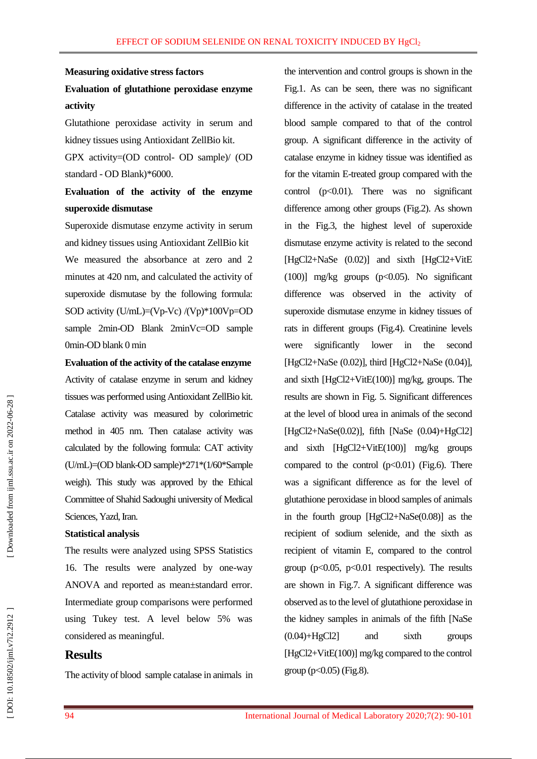#### **Measuring oxidative stress factors**

# **Evaluation of glutathione peroxidase enzyme activity**

Glutathione peroxidase activity in serum and kidney tissues using Antioxidant ZellBio kit .

GPX activity =(OD control - OD sample)/ (OD standard - OD Blank)\*6000.

# **Evaluation of the activity of the enzyme superoxide dismutase**

Superoxide dismutase enzyme activity in serum and kidney tissues using Antioxidant ZellBio kit We measured the absorbance at zero and 2 minutes at 420 nm, and calculated the activity of superoxide dismutase by the following formula: SOD activity (U/mL)=(Vp-Vc) /(Vp)\*100Vp=OD sample 2min-OD Blank 2minVc=OD sample 0min -OD blank 0 min

**Evaluation of the activity of the catalase enzyme** Activity of catalase enzyme in serum and kidney tissues was performed using Antioxidant ZellBio kit. Catalase activity was measured by colorimetric method in 405 nm. Then catalase activity was calculated by the following formula: CAT activity (U/mL)=(OD blank-OD sample)\*271\*(1/60\*Sample weigh). This study was approved by the Ethical Committee of Shahid Sadoughi university of Medical Sciences, Yazd, Iran.

#### **Statistical analysis**

The results were analyzed using SPSS Statistics 16. The results were analyzed by one -way ANOVA and reported as mean±standard error. Intermediate group comparisons were performed using Tukey test. A level below 5% was considered as meaningful.

### **Results**

The activity of blood sample catalase in animals in

the intervention and control groups is shown in the Fig.1. As can be seen, there was no significant difference in the activity of catalase in the treated blood sample compared to that of the control group. A significant difference in the activity of catalase enzyme in kidney tissue was identified as for the vitamin E -treated group compared with the control  $(p<0.01)$ . There was no significant difference among other groups (Fig.2). As shown in the Fig.3, the highest level of superoxide dismutase enzyme activity is related to the second [HgCl2+NaSe (0.02)] and sixth [HgCl2+VitE (100)] mg/kg groups (p<0.05). No significant difference was observed in the activity of superoxide dismutase enzyme in kidney tissues of rats in different groups (Fig.4) . Creatinine levels were significantly lower in the second [HgCl2+NaSe (0.02)], third [HgCl2+NaSe (0.04)], and sixth [HgCl2+VitE(100)] mg/kg, groups. The results are shown in Fig. 5. Significant differences at the level of blood urea in animals of the second [HgCl2+NaSe(0.02)], fifth [NaSe (0.04)+HgCl2] and sixth [HgCl2+VitE(100)] mg/kg groups compared to the control  $(p<0.01)$  (Fig.6). There was a significant difference as for the level of glutathione peroxidase in blood samples of animals in the fourth group [HgCl2+NaSe(0.08)] as the recipient of sodium selenide, and the sixth as recipient of vitamin E, compared to the control group ( $p<0.05$ ,  $p<0.01$  respectively). The results are shown in Fig.7. A significant difference was observed as to the level of glutathione peroxidase in the kidney samples in animals of the fifth [NaSe (0.04)+HgCl2] and sixth groups [HgCl2+VitE(100)] mg/kg compared to the control  $group (p<0.05) (Fig.8).$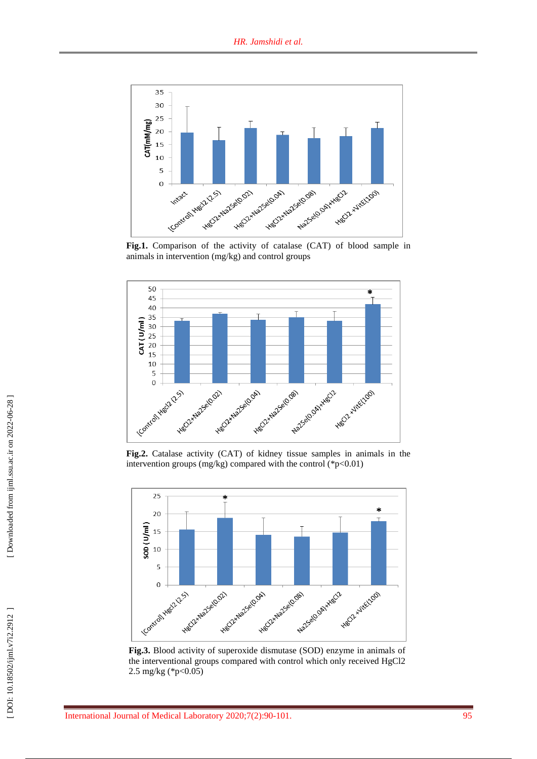

Fig.1. Comparison of the activity of catalase (CAT) of blood sample in animals in intervention (mg/kg) and control groups



**Fig .2.** Catalase activity (CAT) of kidney tissue samples in animals in the intervention groups (mg/kg) compared with the control (\*p<0.01)



**Fig .3.** Blood activity of superoxide dismutase (SOD) enzyme in animals of the interventional groups compared with control which only received HgCl2 2.5 mg/kg (\*p<0.05)

 [\[ DOI: 10.18502/ijml.v7i2.2912 \]](http://dx.doi.org/10.18502/ijml.v7i2.2912 ) [\[ Downloaded from ijml.ssu.ac.ir on 2022-](https://ijml.ssu.ac.ir/article-1-364-en.html)06-28 ]

DOI: 10.18502/ijml.v7i2.2912

Downloaded from ijml.ssu.ac.ir on 2022-06-28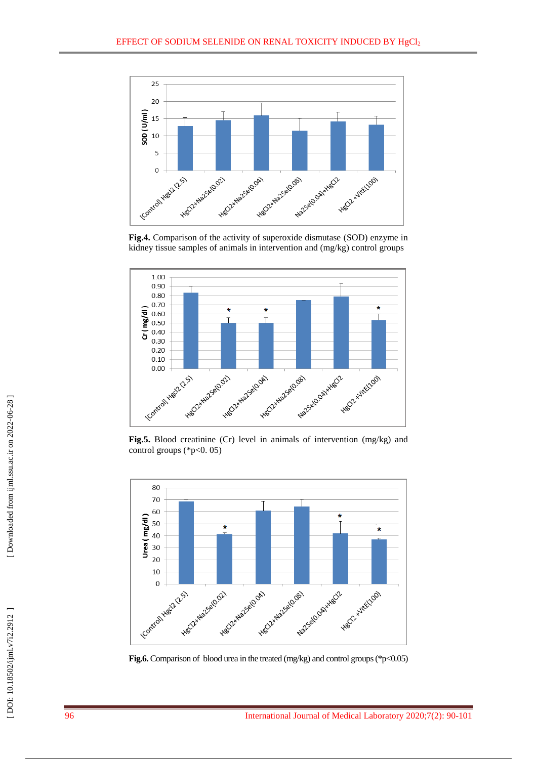

**Fig .4.** Comparison of the activity of superoxide dismutase (SOD) enzyme in kidney tissue samples of animals in intervention and (mg/kg) control groups



**Fig .5.** Blood creatinine (Cr) level in animals of intervention (mg/kg) and control groups (\*p<0. 05)



**Fig.6.** Comparison of blood urea in the treated (mg/kg) and control groups (\*p<0.05)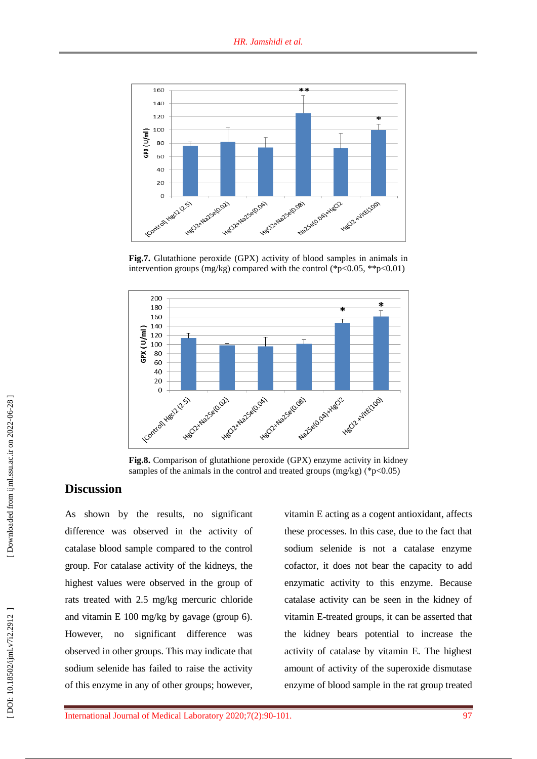

Fig.7. Glutathione peroxide (GPX) activity of blood samples in animals in intervention groups (mg/kg) compared with the control (\*p<0.05, \*\*p<0.01)



**Fig . 8 .** Comparison of glutathione peroxide (GPX) enzyme activity in kidney samples of the animals in the control and treated groups  $(mg/kg)$  (\*p<0.05)

## **Discussion**

As shown by the results, no significant difference was observed in the activity of catalase blood sample compared to the control group. For catalase activity of the kidneys, the highest values were observed in the group of rats treated with 2.5 mg/kg mercuric chloride and vitamin E 100 mg/kg by gavage (group 6). However, no significant difference was observed in other groups. This may indicate that sodium selenide has failed to raise the activity of this enzyme in any of other groups; however,

vitamin E acting as a cogent antioxidant, affect s these processes. In this case, due to the fact that sodium selenide is not a catalase enzyme cofactor, it does not bear the capacity to add enzymatic activity to this enzyme. Because catalase activity can be seen in the kidney of vitamin E -treated groups, it can be asserted that the kidney bears potential to increase the activity of catalase by vitamin E. The highest amount of activity of the superoxide dismutase enzyme of blood sample in the rat group treated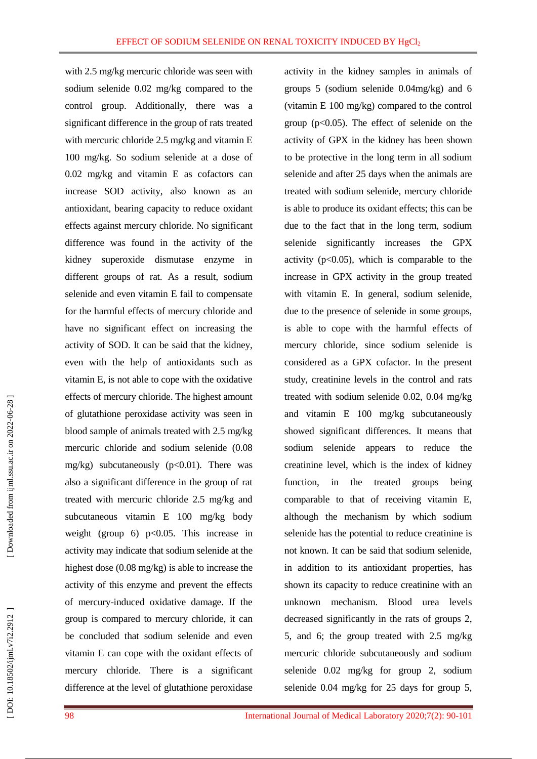with 2.5 mg/kg mercuric chloride was seen with sodium selenide 0.02 mg/kg compared to the control group. Additionally, there was a significant difference in the group of rats treated with mercuric chloride 2.5 mg/kg and vitamin E 100 mg/kg. So sodium selenide at a dose of 0.02 mg/kg and vitamin E as cofactors can increase SOD activity, also known as an antioxidant, bearing capacity to reduce oxidant effects against mercury chloride. No significant difference was found in the activity of the kidney superoxide dismutase enzyme in different groups of rat. As a result, sodium selenide and even vitamin E fail to compensate for the harmful effects of mercury chloride and have no significant effect on increasing the activity of SOD. It can be said that the kidney, even with the help of antioxidants such as vitamin E, is not able to cope with the oxidative effects of mercury chloride. The highest amount of glutathione peroxidase activity was seen in blood sample of animals treated with 2.5 mg/kg mercuric chloride and sodium selenide (0.08 mg/kg) subcutaneously  $(p<0.01)$ . There was also a significant difference in the group of rat treated with mercuric chloride 2.5 mg/kg and subcutaneous vitamin E 100 mg/kg body weight (group 6)  $p<0.05$ . This increase in activity may indicate that sodium selenide at the highest dose (0.08 mg/kg) is able to increase the activity of this enzyme and prevent the effects of mercury -induced oxidative damage. If the group is compared to mercury chloride, it can be concluded that sodium selenide and even vitamin E can cope with the oxidant effects of mercury chloride. There is a significant difference at the level of glutathione peroxidase

activity in the kidney samples in animals of groups 5 (sodium selenide 0.04mg/kg) and 6 (vitamin E 100 mg/kg) compared to the control group ( p<0.05). The effect of selenide on the activity of GPX in the kidney has been shown to be protective in the long term in all sodium selenide and after 25 days when the animals are treated with sodium selenide, mercury chloride is able to produce its oxidant effects; this can be due to the fact that in the long term, sodium selenide significantly increases the GPX activity  $(p<0.05)$ , which is comparable to the increase in GPX activity in the group treated with vitamin E. In general, sodium selenide, due to the presence of selenide in some groups, is able to cope with the harmful effects of mercury chloride, since sodium selenide is considered as a GPX cofactor. In the present study, creatinine levels in the control and rats treated with sodium selenide 0.02, 0.04 mg/kg and vitamin E 100 mg/kg subcutaneously showed significant differences. It means that sodium selenide appears to reduce the creatinine level, which is the index of kidney function, in the treated groups being comparable to that of receiving vitamin E, although the mechanism by which sodium selenide has the potential to reduce creatinine is not known. It can be said that sodium selenide, in addition to its antioxidant properties, has shown its capacity to reduce creatinine with an unknown mechanism. Blood urea levels decreased significantly in the rats of groups 2, 5, and 6; the group treated with 2.5 mg/kg mercuric chloride subcutaneously and sodium selenide 0.02 mg/kg for group 2, sodium selenide 0.04 mg/kg for 25 days for group 5 ,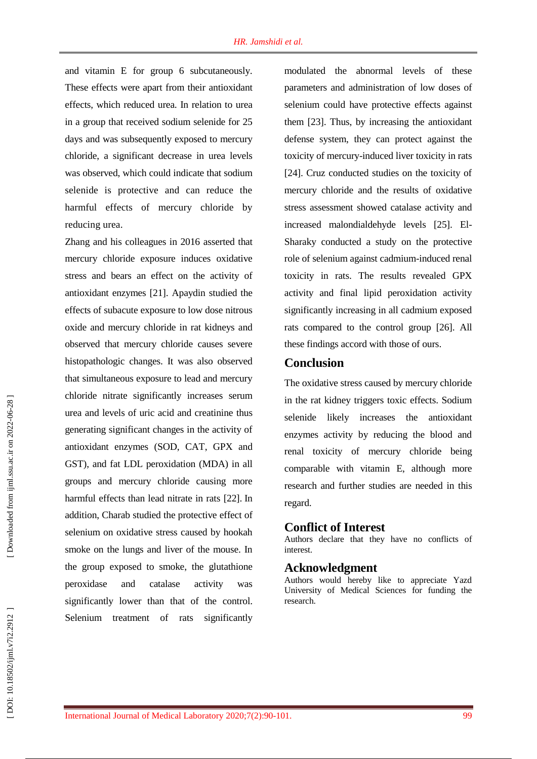and vitamin E for group 6 subcutaneously. These effects were apart from their antioxidant effects, which reduced urea. In relation to urea in a group that received sodium selenide for 25 days and was subsequently exposed to mercury chloride, a significant decrease in urea levels was observed, which could indicate that sodium selenide is protective and can reduce the harmful effects of mercury chloride by reducing urea.

Zhang and his colleagues in 2016 asserted that mercury chloride exposure induces oxidative stress and bears an effect on the activity of antioxidant enzymes [21 ]. Apaydin studied the effects of subacute exposure to low dose nitrous oxide and mercury chloride in rat kidneys and observed that mercury chloride causes severe histopathologic changes . It was also observed that simultaneous exposure to lead and mercury chloride nitrate significantly increases serum urea and levels of uric acid and creatinine thus generating significant changes in the activity of antioxidant enzymes (SOD, CAT, GPX and GST), and fat LDL peroxidation (MDA) in all groups and mercury chloride causing more harmful effects than lead nitrate in rats [22 ] . In addition, Charab studied the protective effect of selenium on oxidative stress caused by hookah smoke on the lungs and liver of the mouse. In the group exposed to smoke, the glutathione peroxidase and catalase activity was significantly lower than that of the control. Selenium treatment of rats significantly

modulated the abnormal levels of these parameters and administration of low doses of selenium could have protective effects against them [23 ]. Thus, by increasing the antioxidant defense system, they can protect against the toxicity of mercury -induced liver toxicity in rats [24 ]. Cruz conducted studies on the toxicity of mercury chloride and the results of oxidative stress assessment showed catalase activity and increased malondialdehyde levels [25 ]. El - Sharaky conducted a study on the protective role of selenium against cadmium -induced renal toxicity in rat s. The results revealed GPX activity and final lipid peroxidation activity significantly increasing in all cadmium exposed rats compared to the control group [26 ]. All these findings accord with those of ours .

#### **Conclusion**

The oxidative stress caused by mercury chloride in the rat kidney triggers toxic effects. Sodium selenide likely increase s the antioxidant enzymes activity by reducing the blood and renal toxicity of mercury chloride being comparable with vitamin E, although more research and further studies are needed in this regard .

### **Conflict of Interest**

Authors declare that they have no conflicts of interest .

#### **Acknowledgment**

Authors would hereby like to appreciate Yazd University of Medical Sciences for funding the research.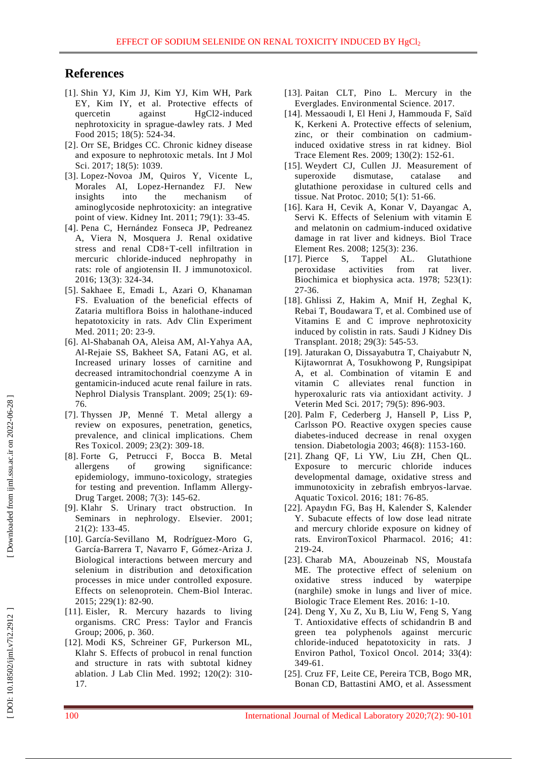### **References**

- [1]. Shin YJ, Kim JJ, Kim YJ, Kim WH, Park EY, Kim IY, et al. Protective effects of quercetin against HgCl2-induced nephrotoxicity in sprague - dawley rats. J Med Food 2015; 18(5): 524 -34.
- [2]. Orr SE, Bridges CC. Chronic kidney disease and exposure to nephrotoxic metals. Int J Mol Sci. 2017; 18(5): 1039.
- [3]. Lopez -Novoa JM, Quiros Y, Vicente L, Morales AI, Lopez -Hernandez FJ. New insights into the mechanism of aminoglycoside nephrotoxicity: an integrative point of view. Kidney Int. 2011; 79(1): 33 -45.
- [4]. Pena C, Hernández Fonseca JP, Pedreanez A, Viera N, Mosquera J. Renal oxidative stress and renal CD8+T-cell infiltration in mercuric chloride -induced nephropathy in rats: role of angiotensin II. J immunotoxicol. 2016; 13(3): 324 -34.
- [5]. Sakhaee E, Emadi L, Azari O, Khanaman FS. Evaluation of the beneficial effects of Zataria multiflora Boiss in halothane -induced hepatotoxicity in rats. Adv Clin Experiment Med. 2011; 20: 23-9.
- [6]. Al -Shabanah OA, Aleisa AM, Al -Yahya AA, Al -Rejaie SS, Bakheet SA, Fatani AG, et al. Increased urinary losses of carnitine and decreased intramitochondrial coenzyme A in gentamicin -induced acute renal failure in rats. Nephrol Dialysis Transplant. 2009; 25(1): 69 - 76.
- [7]. Thyssen JP, Menné T. Metal allergy a review on exposures, penetration, genetics, prevalence, and clinical implications. Chem Re s Toxicol. 2009; 23(2): 309 -18.
- [8]. Forte G, Petrucci F, Bocca B. Metal allergens of growing significance: epidemiology, immuno -toxicology, strategies for testing and prevention. Inflamm Allergy - Drug Target. 2008; 7(3): 145 -62.
- [9]. Klahr S. Urinary tract obstruction. In Seminars in nephrology. Elsevier. 2001; 21 ( 2): 133 -45.
- [10]. García -Sevillano M, Rodríguez -Moro G, García -Barrera T, Navarro F, Gómez -Ariza J. Biological interactions between mercury and selenium in distribution and detoxification processes in mice under controlled exposure. Effects on selenoprotein. Chem -Biol Interac. 2015; 229(1) : 82 -90.
- [11]. Eisler, R. Mercury hazards to living organisms. CRC Press : Taylor and Francis Group; 2006, p. 360.
- [12]. Modi KS, Schreiner GF, Purkerson ML, Klahr S. Effects of probucol in renal function and structure in rats with subtotal kidney ablation. J Lab Clin Med. 1992; 120(2): 310 - 17.
- [13]. Paitan CLT, Pino L. Mercury in the Everglades. Environmental Science. 2017.
- [14]. Messaoudi I, El Heni J, Hammouda F, Saïd K, Kerkeni A. Protective effects of selenium, zinc, or their combination on cadmium induced oxidative stress in rat kidney. Biol Trace Element Res. 2009; 130(2): 152 -61.
- [15]. Weydert CJ, Cullen JJ. Measurement of superoxide dismutase, catalase and glutathione peroxidase in cultured cells and tissue. Nat Protoc. 2010; 5(1): 51 -66.
- [16]. Kara H, Cevik A, Konar V, Dayangac A, Servi K. Effects of Selenium with vitamin E and melatonin on cadmium -induced oxidative damage in rat liver and kidneys. Biol Trace Element Res. 2008; 125(3): 236.
- [17]. Pierce S, Tappel AL. Glutathione peroxidase activities from rat liver. Biochimica et biophysica acta. 1978; 523(1): 27 -36.
- [18]. Ghlissi Z, Hakim A, Mnif H, Zeghal K, Rebai T, Boudawara T, et al. Combined use of Vitamins E and C improve nephrotoxicity induced by colistin in rats. Saudi J Kidney Dis Transplant . 2018; 29(3): 545 -53.
- [19]. Jaturakan O, Dissayabutra T, Chaiyabutr N, Kijtawornrat A, Tosukhowong P, Rungsipipat A, et al. Combination of vitamin E and vitamin C alleviates renal function in hyperoxaluric rats via antioxidant activity. J Veterin Med Sci. 2017; 79(5): 896 -903.
- [20]. Palm F, Cederberg J, Hansell P, Liss P, Carlsson PO. Reactive oxygen species cause diabetes -induced decrease in renal oxygen tension. Diabetologia 2003; 46(8): 1153 - 160.
- [21]. Zhang QF, Li YW, Liu ZH, Chen QL. Exposure to mercuric chloride induces developmental damage, oxidative stress and immunotoxicity in zebrafish embryos -larvae. Aquatic Toxicol. 2016; 181: 76 -85.
- [22]. Apaydın FG, Baş H, Kalender S, Kalender Y. Subacute effects of low dose lead nitrate and mercury chloride exposure on kidney of rats. EnvironToxicol Pharmacol. 2016; 41: 219 -24.
- [23]. Charab MA, Abouzeinab NS, Moustafa ME. The protective effect of selenium on oxidative stress induced by waterpipe (narghile) smoke in lungs and liver of mice. Biologic Trace Element Res. 2016: 1 -10.
- [24]. Deng Y, Xu Z, Xu B, Liu W, Feng S, Yang T. Antioxidative effects of schidandrin B and green tea polyphenols against mercuric chloride -induced hepatotoxicity in rats. J Environ Pathol, Toxico l Oncol. 2014; 33(4): 349-61.
- [25]. Cruz FF, Leite CE, Pereira TCB, Bogo MR, Bonan CD, Battastini AMO, et al. Assessment